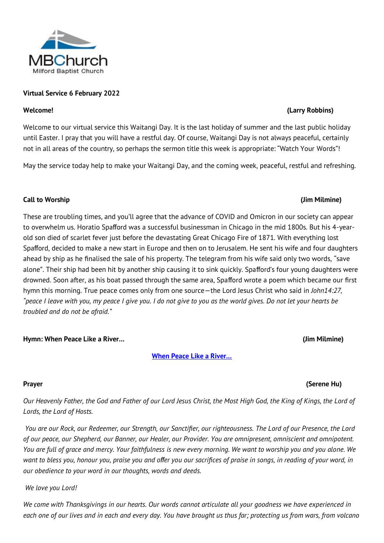

# **Virtual Service 6 February 2022**

Welcome to our virtual service this Waitangi Day. It is the last holiday of summer and the last public holiday until Easter. I pray that you will have a restful day. Of course, Waitangi Day is not always peaceful, certainly not in all areas of the country, so perhaps the sermon title this week is appropriate: "Watch Your Words"!

May the service today help to make your Waitangi Day, and the coming week, peaceful, restful and refreshing.

## **Call to Worship (Jim Milmine)**

These are troubling times, and you'll agree that the advance of COVID and Omicron in our society can appear to overwhelm us. Horatio Spafford was a successful businessman in Chicago in the mid 1800s. But his 4-yearold son died of scarlet fever just before the devastating Great Chicago Fire of 1871. With everything lost Spafford, decided to make a new start in Europe and then on to Jerusalem. He sent his wife and four daughters ahead by ship as he finalised the sale of his property. The telegram from his wife said only two words, "save alone". Their ship had been hit by another ship causing it to sink quickly. Spafford's four young daughters were drowned. Soon after, as his boat passed through the same area, Spafford wrote a poem which became our first hymn this morning. True peace comes only from one source—the Lord Jesus Christ who said in *John14:27, "peace I leave with you, my peace I give you. I do not give to you as the world gives. Do not let your hearts be troubled and do not be afraid."*

# **Hymn: When Peace Like a River… (Jim Milmine)**

# **[When Peace Like a River…](http://www.viewpure.com/AHe_qmo3gX4?start=0&end=0)**

*Our Heavenly Father, the God and Father of our Lord Jesus Christ, the Most High God, the King of Kings, the Lord of Lords, the Lord of Hosts.*

*You are our Rock, our Redeemer, our Strength, our Sanctifier, our righteousness. The Lord of our Presence, the Lord of our peace, our Shepherd, our Banner, our Healer, our Provider. You are omnipresent, omniscient and omnipotent. You are full of grace and mercy. Your faithfulness is new every morning. We want to worship you and you alone. We want to bless you, honour you, praise you and offer you our sacrifices of praise in songs, in reading of your word, in our obedience to your word in our thoughts, words and deeds.*

*We love you Lord!*

*We come with Thanksgivings in our hearts. Our words cannot articulate all your goodness we have experienced in each one of our lives and in each and every day. You have brought us thus far; protecting us from wars, from volcano* 

# **Welcome! (Larry Robbins)**

# **Prayer (Serene Hu)**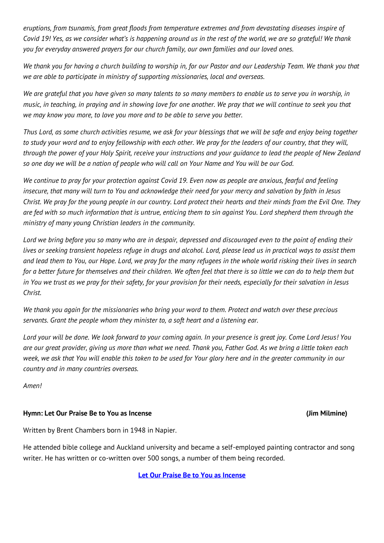*eruptions, from tsunamis, from great floods from temperature extremes and from devastating diseases inspire of Covid 19! Yes, as we consider what's is happening around us in the rest of the world, we are so grateful! We thank you for everyday answered prayers for our church family, our own families and our loved ones.*

*We thank you for having a church building to worship in, for our Pastor and our Leadership Team. We thank you that we are able to participate in ministry of supporting missionaries, local and overseas.* 

*We are grateful that you have given so many talents to so many members to enable us to serve you in worship, in music, in teaching, in praying and in showing love for one another. We pray that we will continue to seek you that we may know you more, to love you more and to be able to serve you better.*

*Thus Lord, as some church activities resume, we ask for your blessings that we will be safe and enjoy being together to study your word and to enjoy fellowship with each other. We pray for the leaders of our country, that they will, through the power of your Holy Spirit, receive your instructions and your guidance to lead the people of New Zealand so one day we will be a nation of people who will call on Your Name and You will be our God.*

*We continue to pray for your protection against Covid 19. Even now as people are anxious, fearful and feeling insecure, that many will turn to You and acknowledge their need for your mercy and salvation by faith in Jesus Christ. We pray for the young people in our country. Lord protect their hearts and their minds from the Evil One. They are fed with so much information that is untrue, enticing them to sin against You. Lord shepherd them through the ministry of many young Christian leaders in the community.*

*Lord we bring before you so many who are in despair, depressed and discouraged even to the point of ending their lives or seeking transient hopeless refuge in drugs and alcohol. Lord, please lead us in practical ways to assist them and lead them to You, our Hope. Lord, we pray for the many refugees in the whole world risking their lives in search for a better future for themselves and their children. We often feel that there is so little we can do to help them but in You we trust as we pray for their safety, for your provision for their needs, especially for their salvation in Jesus Christ.*

*We thank you again for the missionaries who bring your word to them. Protect and watch over these precious servants. Grant the people whom they minister to, a soft heart and a listening ear.*

*Lord your will be done. We look forward to your coming again. In your presence is great joy. Come Lord Jesus! You are our great provider, giving us more than what we need. Thank you, Father God. As we bring a little token each week, we ask that You will enable this token to be used for Your glory here and in the greater community in our country and in many countries overseas.*

*Amen!*

## **Hymn: Let Our Praise Be to You as Incense (Jim Milmine)**

Written by Brent Chambers born in 1948 in Napier.

He attended bible college and Auckland university and became a self-employed painting contractor and song writer. He has written or co-written over 500 songs, a number of them being recorded.

**[Let Our Praise Be to You as Incense](http://www.viewpure.com/nA44lGRjO3w?start=0&end=0)**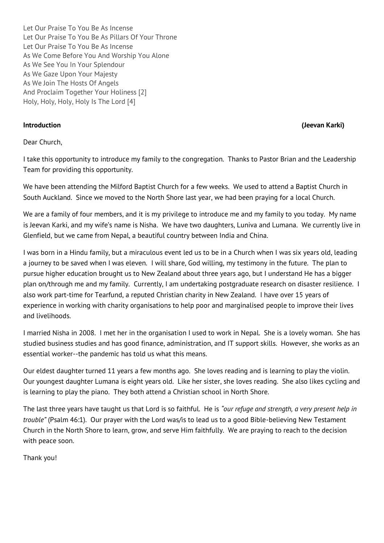Let Our Praise To You Be As Incense Let Our Praise To You Be As Pillars Of Your Throne Let Our Praise To You Be As Incense As We Come Before You And Worship You Alone As We See You In Your Splendour As We Gaze Upon Your Majesty As We Join The Hosts Of Angels And Proclaim Together Your Holiness [2] Holy, Holy, Holy, Holy Is The Lord [4]

# **Introduction (Jeevan Karki)**

Dear Church,

I take this opportunity to introduce my family to the congregation. Thanks to Pastor Brian and the Leadership Team for providing this opportunity.

We have been attending the Milford Baptist Church for a few weeks. We used to attend a Baptist Church in South Auckland. Since we moved to the North Shore last year, we had been praying for a local Church.

We are a family of four members, and it is my privilege to introduce me and my family to you today. My name is Jeevan Karki, and my wife's name is Nisha. We have two daughters, Luniva and Lumana. We currently live in Glenfield, but we came from Nepal, a beautiful country between India and China.

I was born in a Hindu family, but a miraculous event led us to be in a Church when I was six years old, leading a journey to be saved when I was eleven. I will share, God willing, my testimony in the future. The plan to pursue higher education brought us to New Zealand about three years ago, but I understand He has a bigger plan on/through me and my family. Currently, I am undertaking postgraduate research on disaster resilience. I also work part-time for Tearfund, a reputed Christian charity in New Zealand. I have over 15 years of experience in working with charity organisations to help poor and marginalised people to improve their lives and livelihoods.

I married Nisha in 2008. I met her in the organisation I used to work in Nepal. She is a lovely woman. She has studied business studies and has good finance, administration, and IT support skills. However, she works as an essential worker--the pandemic has told us what this means.

Our eldest daughter turned 11 years a few months ago. She loves reading and is learning to play the violin. Our youngest daughter Lumana is eight years old. Like her sister, she loves reading. She also likes cycling and is learning to play the piano. They both attend a Christian school in North Shore.

The last three years have taught us that Lord is so faithful. He is *"our refuge and strength, a very present help in trouble"* (Psalm 46:1). Our prayer with the Lord was/is to lead us to a good Bible-believing New Testament Church in the North Shore to learn, grow, and serve Him faithfully. We are praying to reach to the decision with peace soon.

Thank you!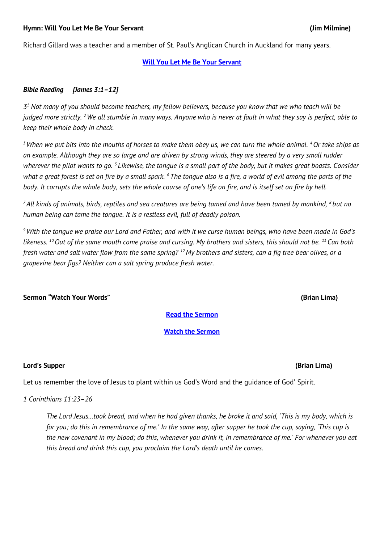### **Hymn: Will You Let Me Be Your Servant (Jim Milmine)**

Richard Gillard was a teacher and a member of St. Paul's Anglican Church in Auckland for many years.

## **[Will You Let Me Be Your Servant](http://www.viewpure.com/32jWTAIHXgE?start=0&end=0)**

# *Bible Reading [James 3:1–12]*

*3 <sup>1</sup> Not many of you should become teachers, my fellow believers, because you know that we who teach will be judged more strictly. <sup>2</sup>We all stumble in many ways. Anyone who is never at fault in what they say is perfect, able to keep their whole body in check.*

*<sup>3</sup>When we put bits into the mouths of horses to make them obey us, we can turn the whole animal. <sup>4</sup>Or take ships as an example. Although they are so large and are driven by strong winds, they are steered by a very small rudder wherever the pilot wants to go. <sup>5</sup> Likewise, the tongue is a small part of the body, but it makes great boasts. Consider what a great forest is set on fire by a small spark. <sup>6</sup> The tongue also is a fire, a world of evil among the parts of the body. It corrupts the whole body, sets the whole course of one's life on fire, and is itself set on fire by hell.*

*<sup>7</sup> All kinds of animals, birds, reptiles and sea creatures are being tamed and have been tamed by mankind, <sup>8</sup> but no human being can tame the tongue. It is a restless evil, full of deadly poison.*

*<sup>9</sup>With the tongue we praise our Lord and Father, and with it we curse human beings, who have been made in God's likeness. <sup>10</sup>Out of the same mouth come praise and cursing. My brothers and sisters, this should not be. <sup>11</sup> Can both fresh water and salt water flow from the same spring? <sup>12</sup> My brothers and sisters, can a fig tree bear olives, or a grapevine bear figs? Neither can a salt spring produce fresh water.*

## **Sermon "Watch Your Words" (Brian Lima)**

**[Read the Sermon](https://milfordbaptist.co.nz/wp-content/uploads/2022/02/2022.02.06-SERMON-Watch-Your-Words.pdf)**

**[Watch the Sermon](http://www.viewpure.com/bJkk9L4DRlI?start=0&end=0)**

# **Lord's Supper (Brian Lima)**

Let us remember the love of Jesus to plant within us God's Word and the guidance of God' Spirit.

# *1 Corinthians 11:23–26*

*The Lord Jesus…took bread, and when he had given thanks, he broke it and said, 'This is my body, which is for you; do this in remembrance of me.' In the same way, after supper he took the cup, saying, 'This cup is the new covenant in my blood; do this, whenever you drink it, in remembrance of me.' For whenever you eat this bread and drink this cup, you proclaim the Lord's death until he comes.*